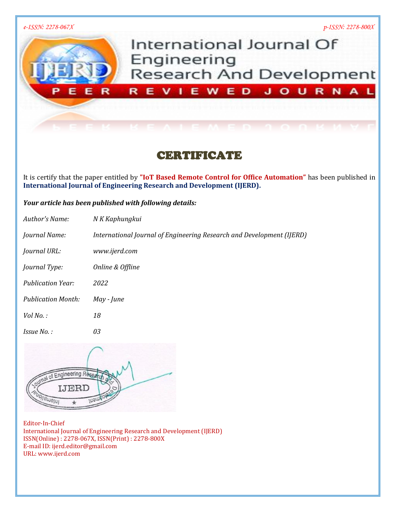

# CERTIFICATE

It is certify that the paper entitled by **"IoT Based Remote Control for Office Automation"** has been published in **International Journal of Engineering Research and Development (IJERD).**

## *Your article has been published with following details:*

| Author's Name:            | N K Kaphungkui                                                        |
|---------------------------|-----------------------------------------------------------------------|
| Journal Name:             | International Journal of Engineering Research and Development (IJERD) |
| <i>Journal URL:</i>       | www.ijerd.com                                                         |
| <i>Journal Type:</i>      | Online & Offline                                                      |
| <b>Publication Year:</b>  | 2022                                                                  |
| <b>Publication Month:</b> | May - June                                                            |
| $Vol$ No.:                | 18                                                                    |
| <i>Issue No.:</i>         | 03                                                                    |

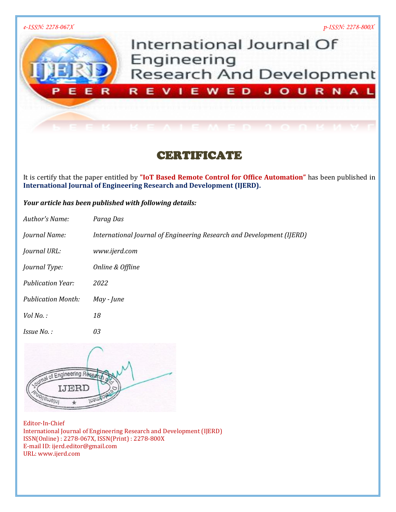

# CERTIFICATE

It is certify that the paper entitled by **"IoT Based Remote Control for Office Automation"** has been published in **International Journal of Engineering Research and Development (IJERD).**

## *Your article has been published with following details:*

| Author's Name:            | Parag Das                                                             |
|---------------------------|-----------------------------------------------------------------------|
| Journal Name:             | International Journal of Engineering Research and Development (IJERD) |
| <i>Journal URL:</i>       | www.ijerd.com                                                         |
| Journal Type:             | Online & Offline                                                      |
| <b>Publication Year:</b>  | 2022                                                                  |
| <b>Publication Month:</b> | May - June                                                            |
| $Vol$ No.:                | 18                                                                    |
| <i>Issue No.:</i>         | 03                                                                    |

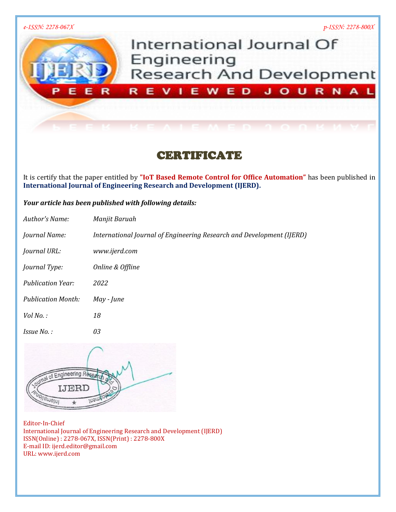

# CERTIFICATE

It is certify that the paper entitled by **"IoT Based Remote Control for Office Automation"** has been published in **International Journal of Engineering Research and Development (IJERD).**

## *Your article has been published with following details:*

| Author's Name:            | Manjit Baruah                                                         |
|---------------------------|-----------------------------------------------------------------------|
| Journal Name:             | International Journal of Engineering Research and Development (IJERD) |
| <i>Journal URL:</i>       | www.ijerd.com                                                         |
| <i>Journal Type:</i>      | Online & Offline                                                      |
| <b>Publication Year:</b>  | 2022                                                                  |
| <b>Publication Month:</b> | May - June                                                            |
| $Vol$ No.:                | 18                                                                    |
| <i>Issue No.:</i>         | 03                                                                    |